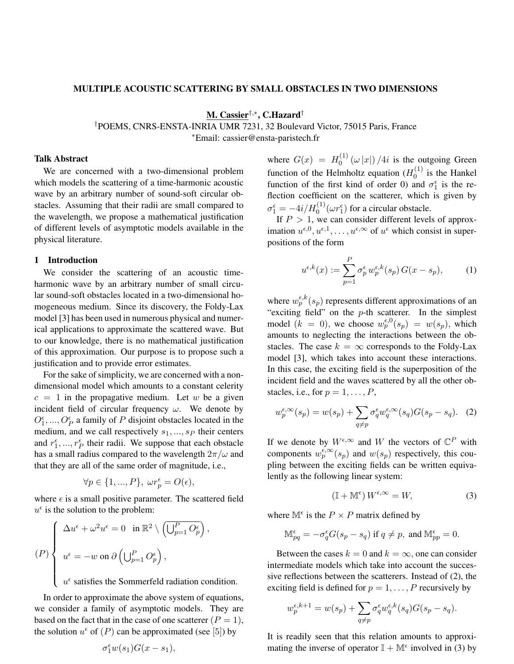## MULTIPLE ACOUSTIC SCATTERING BY SMALL OBSTACLES IN TWO DIMENSIONS

M. Cassier†,<sup>∗</sup> , C.Hazard†

†POEMS, CNRS-ENSTA-INRIA UMR 7231, 32 Boulevard Victor, 75015 Paris, France <sup>∗</sup>Email: cassier@ensta-paristech.fr

# Talk Abstract

We are concerned with a two-dimensional problem which models the scattering of a time-harmonic acoustic wave by an arbitrary number of sound-soft circular obstacles. Assuming that their radii are small compared to the wavelength, we propose a mathematical justification of different levels of asymptotic models available in the physical literature.

#### 1 Introduction

We consider the scattering of an acoustic timeharmonic wave by an arbitrary number of small circular sound-soft obstacles located in a two-dimensional homogeneous medium. Since its discovery, the Foldy-Lax model [3] has been used in numerous physical and numerical applications to approximate the scattered wave. But to our knowledge, there is no mathematical justification of this approximation. Our purpose is to propose such a justification and to provide error estimates.

For the sake of simplicity, we are concerned with a nondimensional model which amounts to a constant celerity  $c = 1$  in the propagative medium. Let w be a given incident field of circular frequency  $\omega$ . We denote by  $O_1^{\epsilon}$ , ...,  $O_P^{\epsilon}$  a family of P disjoint obstacles located in the medium, and we call respectively  $s_1, ..., s_p$  their centers and  $r_1^{\epsilon}$ , ...,  $r_P^{\epsilon}$  their radii. We suppose that each obstacle has a small radius compared to the wavelength  $2\pi/\omega$  and that they are all of the same order of magnitude, i.e.,

$$
\forall p \in \{1, ..., P\}, \ \omega r_p^{\epsilon} = O(\epsilon),
$$

where  $\epsilon$  is a small positive parameter. The scattered field  $u^{\epsilon}$  is the solution to the problem:

$$
(P)\begin{cases} \Delta u^{\epsilon} + \omega^2 u^{\epsilon} = 0 & \text{in } \mathbb{R}^2 \setminus \left( \overline{\bigcup_{p=1}^P O_p^{\epsilon}} \right), \\ u^{\epsilon} = -w \text{ on } \partial \left( \bigcup_{p=1}^P O_p^{\epsilon} \right), \\ u^{\epsilon} \text{ satisfies the Sommerfeld radiation condition.} \end{cases}
$$

In order to approximate the above system of equations, we consider a family of asymptotic models. They are based on the fact that in the case of one scatterer  $(P = 1)$ , the solution  $u^{\epsilon}$  of  $(P)$  can be approximated (see [5]) by

$$
\sigma_1^{\epsilon} w(s_1) G(x-s_1),
$$

where  $G(x) = H_0^{(1)}$  $\int_0^{(1)} (\omega |x|) /4i$  is the outgoing Green function of the Helmholtz equation  $(H_0^{(1)})$  $\binom{1}{0}$  is the Hankel function of the first kind of order 0) and  $\sigma_1^{\epsilon}$  is the reflection coefficient on the scatterer, which is given by  $\sigma_1^{\epsilon} = -4i/H_0^{(1)}(\omega r_1^{\epsilon})$  for a circular obstacle.

If  $P > 1$ , we can consider different levels of approximation  $u^{\epsilon,0}, u^{\epsilon,1}, \ldots, u^{\epsilon,\infty}$  of  $u^{\epsilon}$  which consist in superpositions of the form

$$
u^{\epsilon,k}(x) := \sum_{p=1}^{P} \sigma_p^{\epsilon} w_p^{\epsilon,k}(s_p) G(x - s_p),
$$
 (1)

where  $w_p^{\epsilon, k}(s_p)$  represents different approximations of an "exciting field" on the  $p$ -th scatterer. In the simplest model  $(k = 0)$ , we choose  $w_p^{\epsilon,0}(s_p) = w(s_p)$ , which amounts to neglecting the interactions between the obstacles. The case  $k = \infty$  corresponds to the Foldy-Lax model [3], which takes into account these interactions. In this case, the exciting field is the superposition of the incident field and the waves scattered by all the other obstacles, i.e., for  $p = 1, \ldots, P$ ,

$$
w_p^{\epsilon,\infty}(s_p) = w(s_p) + \sum_{q \neq p} \sigma_q^{\epsilon} w_q^{\epsilon,\infty}(s_q) G(s_p - s_q). \tag{2}
$$

If we denote by  $W^{\epsilon,\infty}$  and W the vectors of  $\mathbb{C}^P$  with components  $w_p^{\epsilon,\infty}(s_p)$  and  $w(s_p)$  respectively, this coupling between the exciting fields can be written equivalently as the following linear system:

$$
\left(\mathbb{I} + \mathbb{M}^{\epsilon}\right)W^{\epsilon,\infty} = W,\tag{3}
$$

where  $\mathbb{M}^{\epsilon}$  is the  $P \times P$  matrix defined by

$$
\mathbb{M}^{\epsilon}_{pq} = -\sigma_q^{\epsilon} G(s_p - s_q) \text{ if } q \neq p, \text{ and } \mathbb{M}^{\epsilon}_{pp} = 0.
$$

Between the cases  $k = 0$  and  $k = \infty$ , one can consider intermediate models which take into account the successive reflections between the scatterers. Instead of (2), the exciting field is defined for  $p = 1, \ldots, P$  recursively by

$$
w_p^{\epsilon,k+1} = w(s_p) + \sum_{q \neq p} \sigma_q^{\epsilon} w_q^{\epsilon,k}(s_q) G(s_p - s_q).
$$

It is readily seen that this relation amounts to approximating the inverse of operator  $\mathbb{I} + \mathbb{M}^{\epsilon}$  involved in (3) by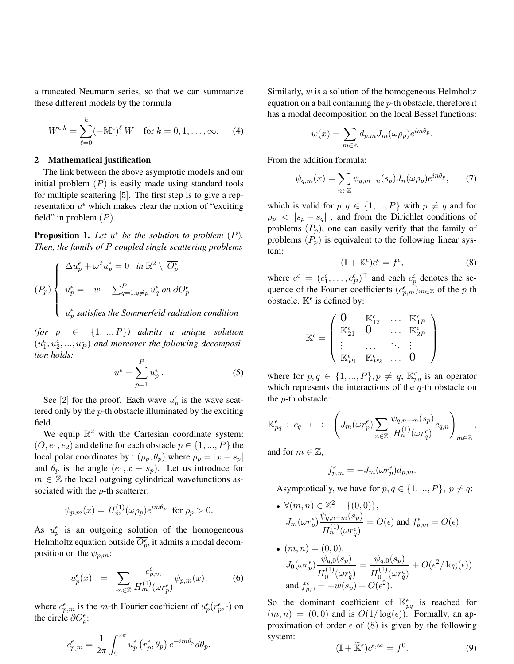a truncated Neumann series, so that we can summarize these different models by the formula

$$
W^{\epsilon,k} = \sum_{\ell=0}^{k} (-\mathbb{M}^{\epsilon})^{\ell} W \quad \text{for } k = 0, 1, \dots, \infty.
$$
 (4)

# 2 Mathematical justification

The link between the above asymptotic models and our initial problem  $(P)$  is easily made using standard tools for multiple scattering [5]. The first step is to give a representation  $u^{\epsilon}$  which makes clear the notion of "exciting field" in problem  $(P)$ .

**Proposition 1.** Let  $u^{\epsilon}$  be the solution to problem  $(P)$ . *Then, the family of* P *coupled single scattering problems*

$$
(P_p)\begin{cases} \Delta u_p^{\epsilon} + \omega^2 u_p^{\epsilon} = 0 & \text{in } \mathbb{R}^2 \setminus \overline{O_p^{\epsilon}} \\ u_p^{\epsilon} = -w - \sum_{q=1, q \neq p}^P u_q^{\epsilon} & \text{on } \partial O_p^{\epsilon} \\ u_p^{\epsilon} & \text{satisfies the Sommerfeld radiation condition} \end{cases}
$$

*(for*  $p \in \{1, ..., P\}$ *)* admits a unique solution  $(u_1^{\epsilon}, u_2^{\epsilon}, ..., u_p^{\epsilon})$  and moreover the following decomposi*tion holds:*

$$
u^{\epsilon} = \sum_{p=1}^{P} u_p^{\epsilon}.
$$
 (5)

See [2] for the proof. Each wave  $u_p^{\epsilon}$  is the wave scattered only by the  $p$ -th obstacle illuminated by the exciting field.

We equip  $\mathbb{R}^2$  with the Cartesian coordinate system:  $(O, e_1, e_2)$  and define for each obstacle  $p \in \{1, ..., P\}$  the local polar coordinates by :  $(\rho_p, \theta_p)$  where  $\rho_p = |x - s_p|$ and  $\theta_p$  is the angle  $(e_1, x - s_p)$ . Let us introduce for  $m \in \mathbb{Z}$  the local outgoing cylindrical wavefunctions associated with the *p*-th scatterer:

$$
\psi_{p,m}(x) = H_m^{(1)}(\omega \rho_p) e^{im\theta_p} \text{ for } \rho_p > 0.
$$

As  $u_p^{\epsilon}$  is an outgoing solution of the homogeneous Helmholtz equation outside  $\overline{O_p^{\epsilon}}$ , it admits a modal decomposition on the  $\psi_{p,m}$ :

$$
u_p^{\epsilon}(x) = \sum_{m \in \mathbb{Z}} \frac{c_{p,m}^{\epsilon}}{H_m^{(1)}(\omega r_p^{\epsilon})} \psi_{p,m}(x), \tag{6}
$$

where  $c_{p,m}^{\epsilon}$  is the *m*-th Fourier coefficient of  $u_p^{\epsilon}(r_p^{\epsilon}, \cdot)$  on the circle  $\partial O_p^{\epsilon}$ :

$$
c_{p,m}^{\epsilon} = \frac{1}{2\pi} \int_0^{2\pi} u_p^{\epsilon} (r_p^{\epsilon}, \theta_p) e^{-im\theta_p} d\theta_p.
$$

Similarly,  $w$  is a solution of the homogeneous Helmholtz equation on a ball containing the p-th obstacle, therefore it has a modal decomposition on the local Bessel functions:

$$
w(x) = \sum_{m \in \mathbb{Z}} d_{p,m} J_m(\omega \rho_p) e^{im\theta_p}.
$$

From the addition formula:

$$
\psi_{q,m}(x) = \sum_{n \in \mathbb{Z}} \psi_{q,m-n}(s_p) J_n(\omega \rho_p) e^{in\theta_p}, \qquad (7)
$$

which is valid for  $p, q \in \{1, ..., P\}$  with  $p \neq q$  and for  $\rho_p < |s_p - s_q|$ , and from the Dirichlet conditions of problems  $(P_p)$ , one can easily verify that the family of problems  $(P_p)$  is equivalent to the following linear system:

$$
(\mathbb{I} + \mathbb{K}^{\epsilon})c^{\epsilon} = f^{\epsilon},\tag{8}
$$

where  $c^{\epsilon} = (c_1^{\epsilon}, \dots, c_P^{\epsilon})^{\top}$  and each  $c_p^{\epsilon}$  denotes the sequence of the Fourier coefficients  $(c_{p,m}^{\epsilon})_{m\in\mathbb{Z}}$  of the p-th obstacle.  $\mathbb{K}^{\epsilon}$  is defined by:

$$
\mathbb{K}^\epsilon = \left( \begin{array}{cccc} 0 & \mathbb{K}^\epsilon_{12} & \ldots & \mathbb{K}^\epsilon_{1P} \\ \mathbb{K}^\epsilon_{21} & 0 & \ldots & \mathbb{K}^\epsilon_{2P} \\ \vdots & \ldots & \ddots & \vdots \\ \mathbb{K}^\epsilon_{P1} & \mathbb{K}^\epsilon_{P2} & \ldots & 0 \end{array} \right)
$$

where for  $p, q \in \{1, ..., P\}, p \neq q$ ,  $\mathbb{K}_{pq}^{\epsilon}$  is an operator which represents the interactions of the  $q$ -th obstacle on the p-th obstacle:

$$
\mathbb{K}_{pq}^{\epsilon} : c_q \longrightarrow \left( J_m(\omega r_p^{\epsilon}) \sum_{n \in \mathbb{Z}} \frac{\psi_{q,n-m}(s_p)}{H_n^{(1)}(\omega r_q^{\epsilon})} c_{q,n} \right)_{m \in \mathbb{Z}},
$$

and for  $m \in \mathbb{Z}$ ,

$$
f_{p,m}^{\epsilon} = -J_m(\omega r_p^{\epsilon})d_{p,m}.
$$

Asymptotically, we have for  $p, q \in \{1, ..., P\}, p \neq q$ :

• 
$$
\forall (m, n) \in \mathbb{Z}^2 - \{(0, 0)\},
$$
  
\n $J_m(\omega r_p^{\epsilon}) \frac{\psi_{q, n-m}(s_p)}{H_n^{(1)}(\omega r_q^{\epsilon})} = O(\epsilon)$  and  $f_{p, m}^{\epsilon} = O(\epsilon)$ 

• 
$$
(m, n) = (0, 0),
$$
  
\n
$$
J_0(\omega r_p^{\epsilon}) \frac{\psi_{q,0}(s_p)}{H_0^{(1)}(\omega r_q^{\epsilon})} = \frac{\psi_{q,0}(s_p)}{H_0^{(1)}(\omega r_q^{\epsilon})} + O(\epsilon^2/\log(\epsilon))
$$
\nand  $f_{p,0}^{\epsilon} = -w(s_p) + O(\epsilon^2).$ 

So the dominant coefficient of  $\mathbb{K}_{pq}^{\epsilon}$  is reached for  $(m, n) = (0, 0)$  and is  $O(1/\log(\epsilon))$ . Formally, an approximation of order  $\epsilon$  of (8) is given by the following system:

$$
(\mathbb{I} + \widetilde{\mathbb{K}}^{\epsilon})c^{\epsilon, \infty} = f^0.
$$
 (9)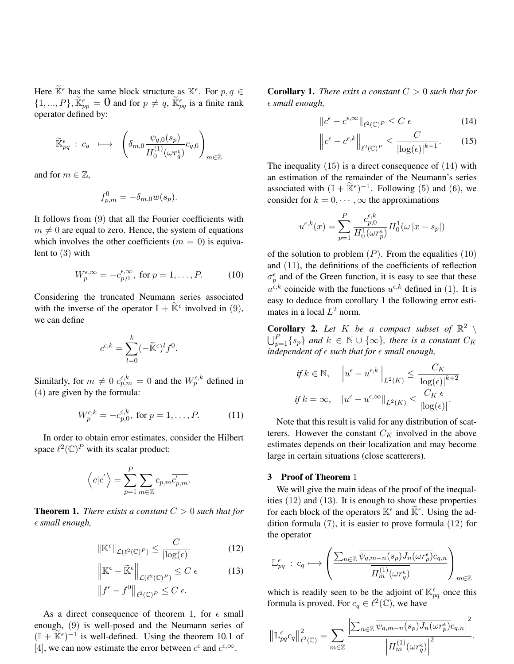Here  $\widetilde{\mathbb{K}}^{\epsilon}$  has the same block structure as  $\mathbb{K}^{\epsilon}$ . For  $p, q \in \mathbb{K}$  $\{1, ..., P\}, \widetilde{\mathbb{K}}_{pp}^{\epsilon} = \mathbf{0}$  and for  $p \neq q$ ,  $\widetilde{\mathbb{K}}_{pq}^{\epsilon}$  is a finite rank operator defined by:

$$
\widetilde{\mathbb{K}}_{pq}^{\epsilon} : c_q \longmapsto \left( \delta_{m,0} \frac{\psi_{q,0}(s_p)}{H_0^{(1)}(\omega r_q^{\epsilon})} c_{q,0} \right)_{m \in \mathbb{Z}}
$$

and for  $m \in \mathbb{Z}$ ,

$$
f_{p,m}^0 = -\delta_{m,0} w(s_p).
$$

It follows from (9) that all the Fourier coefficients with  $m \neq 0$  are equal to zero. Hence, the system of equations which involves the other coefficients ( $m = 0$ ) is equivalent to (3) with

$$
W_p^{\epsilon,\infty} = -c_{p,0}^{\epsilon,\infty}, \text{ for } p = 1,\dots,P. \tag{10}
$$

Considering the truncated Neumann series associated with the inverse of the operator  $\mathbb{I} + \widetilde{\mathbb{K}}^{\epsilon}$  involved in (9), we can define

$$
c^{\epsilon,k} = \sum_{l=0}^{k} (-\widetilde{\mathbb{K}}^{\epsilon})^l f^0.
$$

Similarly, for  $m \neq 0$   $c_{p,m}^{\epsilon,k} = 0$  and the  $W_p^{\epsilon,k}$  defined in (4) are given by the formula:

$$
W_p^{\epsilon,k} = -c_{p,0}^{\epsilon,k}, \text{ for } p = 1, \dots, P. \tag{11}
$$

In order to obtain error estimates, consider the Hilbert space  $\ell^2(\mathbb{C})^P$  with its scalar product:

$$
\langle c|c'\rangle = \sum_{p=1}^{P} \sum_{m\in\mathbb{Z}} c_{p,m} \overline{c'_{p,m}}.
$$

**Theorem 1.** *There exists a constant*  $C > 0$  *such that for small enough,*

$$
\|\mathbb{K}^{\epsilon}\|_{\mathcal{L}(\ell^2(\mathbb{C})^P)} \le \frac{C}{|\log(\epsilon)|} \tag{12}
$$

$$
\left\| \mathbb{K}^{\epsilon} - \widetilde{\mathbb{K}}^{\epsilon} \right\|_{\mathcal{L}(\ell^2(\mathbb{C})^P)} \leq C \epsilon \tag{13}
$$

$$
\left\| f^{\epsilon} - f^0 \right\|_{\ell^2(\mathbb{C})^P} \leq C \epsilon.
$$

As a direct consequence of theorem 1, for  $\epsilon$  small enough, (9) is well-posed and the Neumann series of  $(\mathbb{I} + \widetilde{\mathbb{K}}^{\epsilon})^{-1}$  is well-defined. Using the theorem 10.1 of [4], we can now estimate the error between  $c^{\epsilon}$  and  $c^{\epsilon,\infty}$ .

**Corollary 1.** *There exits a constant*  $C > 0$  *such that for small enough,*

$$
||c^{\epsilon} - c^{\epsilon,\infty}||_{\ell^2(\mathbb{C})^P} \leq C \epsilon \tag{14}
$$

$$
\left\|c^{\epsilon} - c^{\epsilon,k}\right\|_{\ell^2(\mathbb{C})^P} \le \frac{C}{\left|\log(\epsilon)\right|^{k+1}}.\tag{15}
$$

The inequality  $(15)$  is a direct consequence of  $(14)$  with an estimation of the remainder of the Neumann's series associated with  $(\mathbb{I} + \widetilde{\mathbb{K}}^{\epsilon})^{-1}$ . Following (5) and (6), we consider for  $k = 0, \dots, \infty$  the approximations

$$
u^{\epsilon,k}(x) = \sum_{p=1}^{P} \frac{c_{p,0}^{\epsilon,k}}{H_0^1(\omega r_p^{\epsilon})} H_0^1(\omega |x - s_p|)
$$

of the solution to problem  $(P)$ . From the equalities  $(10)$ and (11), the definitions of the coefficients of reflection  $\sigma_p^{\epsilon}$  and of the Green function, it is easy to see that these  $u^{\epsilon,k}$  coincide with the functions  $u^{\epsilon,k}$  defined in (1). It is easy to deduce from corollary 1 the following error estimates in a local  $L^2$  norm.

**Corollary 2.** Let K be a compact subset of  $\mathbb{R}^2$  \  $\bigcup_{p=1}^P \{s_p\}$  and  $k \in \mathbb{N} \cup \{\infty\}$ , there is a constant  $C_K$ *independent of*  $\epsilon$  *such that for*  $\epsilon$  *small enough,* 

$$
if k \in \mathbb{N}, \quad \left\| u^{\epsilon} - u^{\epsilon, k} \right\|_{L^{2}(K)} \leq \frac{C_{K}}{\left| \log(\epsilon) \right|^{k+2}}
$$

$$
if k = \infty, \quad \left\| u^{\epsilon} - u^{\epsilon, \infty} \right\|_{L^{2}(K)} \leq \frac{C_{K} \epsilon}{\left| \log(\epsilon) \right|}.
$$

Note that this result is valid for any distribution of scatterers. However the constant  $C_K$  involved in the above estimates depends on their localization and may become large in certain situations (close scatterers).

## 3 Proof of Theorem 1

We will give the main ideas of the proof of the inequalities (12) and (13). It is enough to show these properties for each block of the operators  $\mathbb{K}^{\epsilon}$  and  $\widetilde{\mathbb{K}}^{\epsilon}$ . Using the addition formula (7), it is easier to prove formula (12) for the operator

$$
\mathbb{L}_{pq}^{\epsilon}: c_q \longmapsto \left(\frac{\sum_{n \in \mathbb{Z}} \overline{\psi_{q,m-n}(s_p) J_n(\omega r_p^{\epsilon})} c_{q,n}}{H_m^{(1)}(\omega r_q^{\epsilon})}\right)_{m \in \mathbb{Z}}
$$

which is readily seen to be the adjoint of  $\mathbb{K}_{pq}^{\epsilon}$  once this formula is proved. For  $c_q \in \ell^2(\mathbb{C})$ , we have

$$
\left\|\mathbb{L}_{pq}^{\epsilon}c_{q}\right\|_{\ell^{2}(\mathbb{C})}^{2}=\sum_{m\in\mathbb{Z}}\frac{\left|\sum_{n\in\mathbb{Z}}\overline{\psi_{q,m-n}(s_{p})}J_{n}(\omega r_{p}^{\epsilon})c_{q,n}\right|^{2}}{\left|H_{m}^{(1)}(\omega r_{q}^{\epsilon})\right|^{2}}.
$$